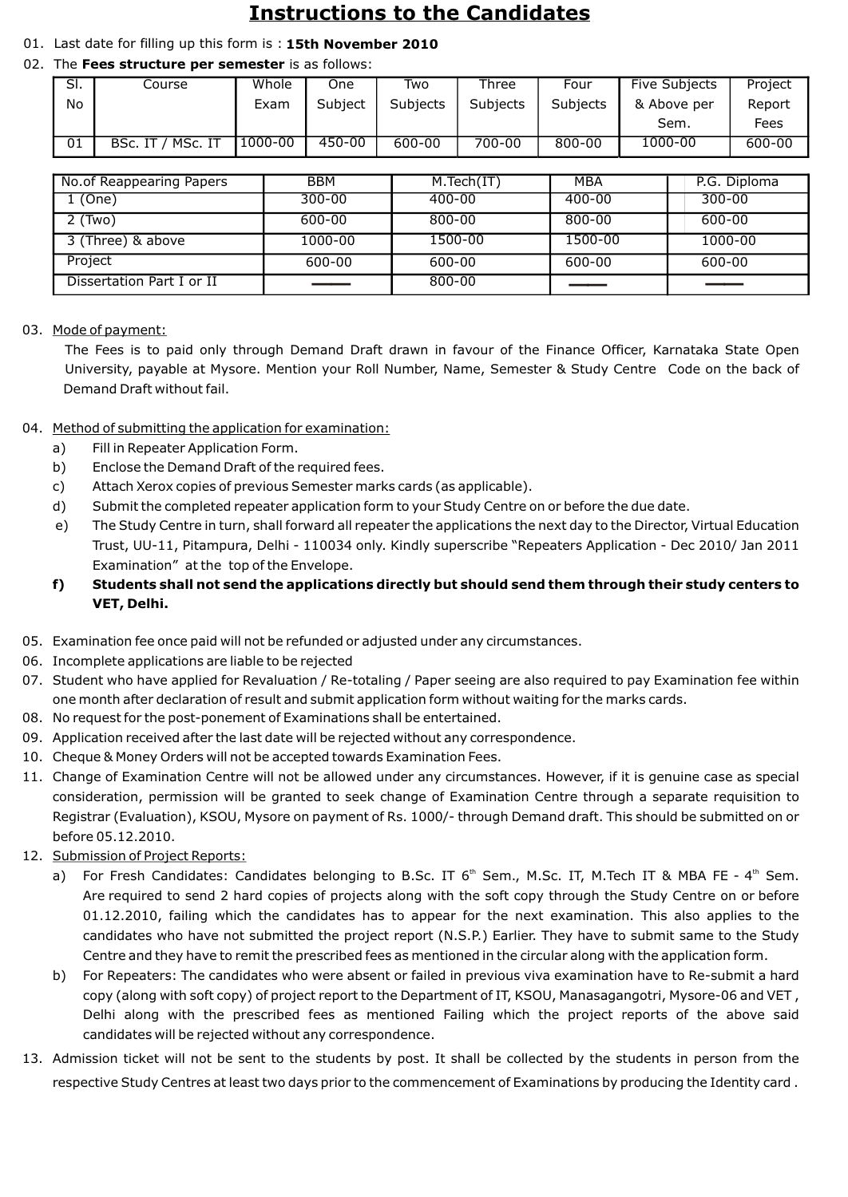# **Instructions to the Candidates**

### 01. Last date for filling up this form is : **15th November 2010**

### 02. The **Fees structure per semester** is as follows:

| SI. | Course             | Whole   | One     | Two             | Three    | Four     | <b>Five Subjects</b> | Project |
|-----|--------------------|---------|---------|-----------------|----------|----------|----------------------|---------|
| No  |                    | Exam    | Subject | <b>Subjects</b> | Subjects | Subjects | & Above per          | Report  |
|     |                    |         |         |                 |          |          | Sem.                 | Fees    |
| 01  | MSc. IT<br>BSc. IT | 1000-00 | 450-00  | 600-00          | 700-00   | 800-00   | 1000-00              | 600-00  |

| No.of Reappearing Papers  | <b>BBM</b> | M.Tech(IT) | MBA        | P.G. Diploma |
|---------------------------|------------|------------|------------|--------------|
| 1 (One)                   | $300 - 00$ | $400 - 00$ | $400 - 00$ | $300 - 00$   |
| $2$ (Two)                 | 600-00     | 800-00     | 800-00     | 600-00       |
| 3 (Three) & above         | 1000-00    | 1500-00    | 1500-00    | 1000-00      |
| Project                   | 600-00     | 600-00     | 600-00     | 600-00       |
| Dissertation Part I or II |            | 800-00     |            | ___          |

#### 03. Mode of payment:

 The Fees is to paid only through Demand Draft drawn in favour of the Finance Officer, Karnataka State Open University, payable at Mysore. Mention your Roll Number, Name, Semester & Study Centre Code on the back of Demand Draft without fail.

- 04. Method of submitting the application for examination:
	- a) Fill in Repeater Application Form.
	- b) Enclose the Demand Draft of the required fees.
	- c) Attach Xerox copies of previous Semester marks cards (as applicable).
	- d) Submit the completed repeater application form to your Study Centre on or before the due date.
	- e) The Study Centre in turn, shall forward all repeater the applications the next day to the Director, Virtual Education Trust, UU-11, Pitampura, Delhi - 110034 only. Kindly superscribe "Repeaters Application - Dec 2010/ Jan 2011 Examination" at the top of the Envelope.
	- **f) Students shall not send the applications directly but should send them through their study centers to VET, Delhi.**
- 05. Examination fee once paid will not be refunded or adjusted under any circumstances.
- 06. Incomplete applications are liable to be rejected
- 07. Student who have applied for Revaluation / Re-totaling / Paper seeing are also required to pay Examination fee within one month after declaration of result and submit application form without waiting for the marks cards.
- 08. No request for the post-ponement of Examinations shall be entertained.
- 09. Application received after the last date will be rejected without any correspondence.
- 10. Cheque & Money Orders will not be accepted towards Examination Fees.
- 11. Change of Examination Centre will not be allowed under any circumstances. However, if it is genuine case as special consideration, permission will be granted to seek change of Examination Centre through a separate requisition to Registrar (Evaluation), KSOU, Mysore on payment of Rs. 1000/- through Demand draft. This should be submitted on or before 05.12.2010.
- 12. Submission of Project Reports:
	- a) For Fresh Candidates: Candidates belonging to B.Sc. IT 6<sup>th</sup> Sem., M.Sc. IT, M.Tech IT & MBA FE 4<sup>th</sup> Sem. Are required to send 2 hard copies of projects along with the soft copy through the Study Centre on or before 01.12.2010, failing which the candidates has to appear for the next examination. This also applies to the candidates who have not submitted the project report (N.S.P.) Earlier. They have to submit same to the Study Centre and they have to remit the prescribed fees as mentioned in the circular along with the application form.
	- b) For Repeaters: The candidates who were absent or failed in previous viva examination have to Re-submit a hard copy (along with soft copy) of project report to the Department of IT, KSOU, Manasagangotri, Mysore-06 and VET , Delhi along with the prescribed fees as mentioned Failing which the project reports of the above said candidates will be rejected without any correspondence.
- 13. Admission ticket will not be sent to the students by post. It shall be collected by the students in person from the respective Study Centres at least two days prior to the commencement of Examinations by producing the Identity card .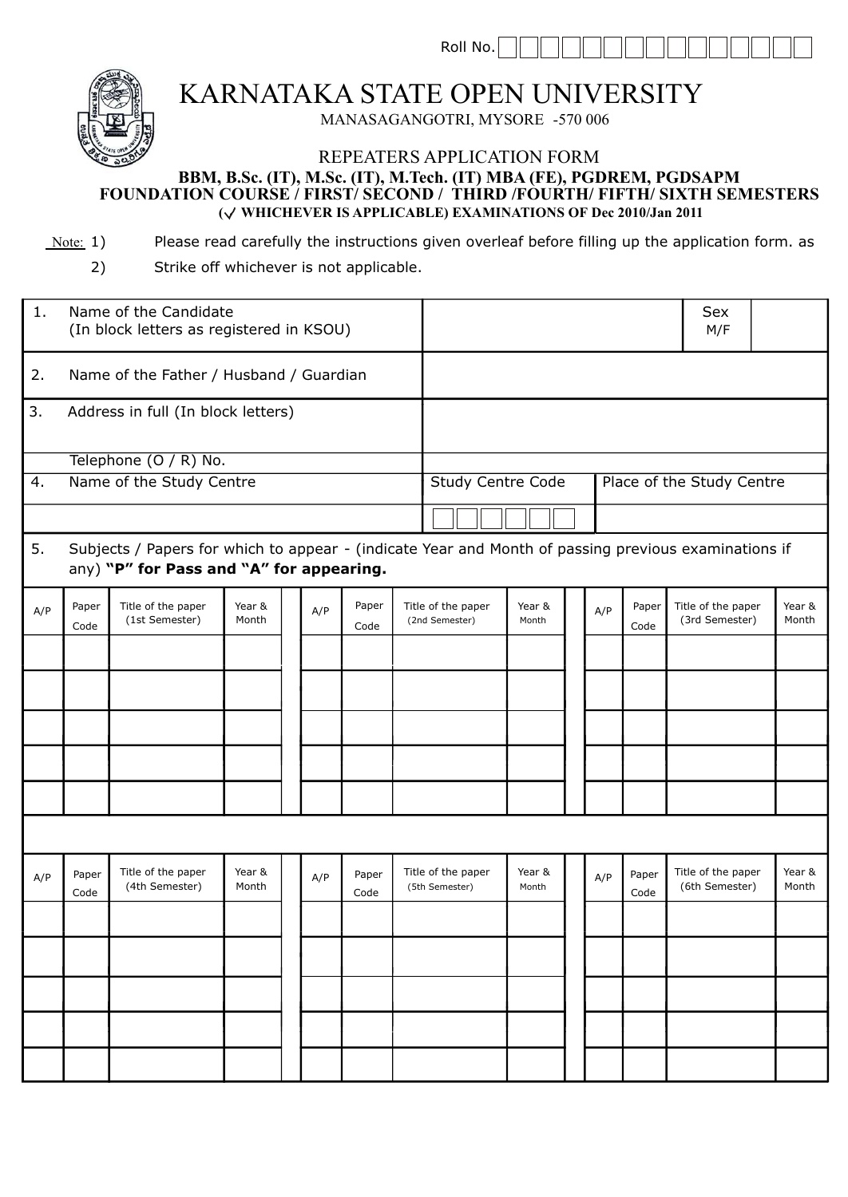Roll No.



KARNATAKA STATE OPEN UNIVERSITY

MANASAGANGOTRI, MYSORE -570 006

## REPEATERS APPLICATION FORM **BBM, B.Sc. (IT), M.Sc. (IT), M.Tech. (IT) MBA (FE), PGDREM, PGDSAPM ( WHICHEVER IS APPLICABLE) EXAMINATIONS OF Dec 2010/Jan 2011 FOUNDATION COURSE / FIRST/ SECOND / THIRD /FOURTH/ FIFTH/ SIXTH SEMESTERS**

- Note: 1) Please read carefully the instructions given overleaf before filling up the application form. as
	- 2) Strike off whichever is not applicable.

| 1.                                                                                                                                                     | Name of the Candidate<br>(In block letters as registered in KSOU) |                                      |                 |  |     |               |                                                       |                                      |                 |  |     | Sex<br>M/F    |                                      |                 |
|--------------------------------------------------------------------------------------------------------------------------------------------------------|-------------------------------------------------------------------|--------------------------------------|-----------------|--|-----|---------------|-------------------------------------------------------|--------------------------------------|-----------------|--|-----|---------------|--------------------------------------|-----------------|
| 2.                                                                                                                                                     | Name of the Father / Husband / Guardian                           |                                      |                 |  |     |               |                                                       |                                      |                 |  |     |               |                                      |                 |
| 3.                                                                                                                                                     | Address in full (In block letters)                                |                                      |                 |  |     |               |                                                       |                                      |                 |  |     |               |                                      |                 |
|                                                                                                                                                        |                                                                   | Telephone (O / R) No.                |                 |  |     |               |                                                       |                                      |                 |  |     |               |                                      |                 |
| $\overline{4}$ .                                                                                                                                       | Name of the Study Centre                                          |                                      |                 |  |     |               | <b>Study Centre Code</b><br>Place of the Study Centre |                                      |                 |  |     |               |                                      |                 |
|                                                                                                                                                        |                                                                   |                                      |                 |  |     |               |                                                       |                                      |                 |  |     |               |                                      |                 |
| Subjects / Papers for which to appear - (indicate Year and Month of passing previous examinations if<br>5.<br>any) "P" for Pass and "A" for appearing. |                                                                   |                                      |                 |  |     |               |                                                       |                                      |                 |  |     |               |                                      |                 |
| A/P                                                                                                                                                    | Paper<br>Code                                                     | Title of the paper<br>(1st Semester) | Year &<br>Month |  | A/P | Paper<br>Code |                                                       | Title of the paper<br>(2nd Semester) | Year &<br>Month |  | A/P | Paper<br>Code | Title of the paper<br>(3rd Semester) | Year &<br>Month |
|                                                                                                                                                        |                                                                   |                                      |                 |  |     |               |                                                       |                                      |                 |  |     |               |                                      |                 |
|                                                                                                                                                        |                                                                   |                                      |                 |  |     |               |                                                       |                                      |                 |  |     |               |                                      |                 |
|                                                                                                                                                        |                                                                   |                                      |                 |  |     |               |                                                       |                                      |                 |  |     |               |                                      |                 |
|                                                                                                                                                        |                                                                   |                                      |                 |  |     |               |                                                       |                                      |                 |  |     |               |                                      |                 |
|                                                                                                                                                        |                                                                   |                                      |                 |  |     |               |                                                       |                                      |                 |  |     |               |                                      |                 |
|                                                                                                                                                        |                                                                   |                                      |                 |  |     |               |                                                       |                                      |                 |  |     |               |                                      |                 |
|                                                                                                                                                        |                                                                   |                                      |                 |  |     |               |                                                       |                                      |                 |  |     |               |                                      |                 |
| A/P                                                                                                                                                    | Paper<br>Code                                                     | Title of the paper<br>(4th Semester) | Year &<br>Month |  | A/P | Paper<br>Code |                                                       | Title of the paper<br>(5th Semester) | Year &<br>Month |  | A/P | Paper<br>Code | Title of the paper<br>(6th Semester) | Year &<br>Month |
|                                                                                                                                                        |                                                                   |                                      |                 |  |     |               |                                                       |                                      |                 |  |     |               |                                      |                 |
|                                                                                                                                                        |                                                                   |                                      |                 |  |     |               |                                                       |                                      |                 |  |     |               |                                      |                 |
|                                                                                                                                                        |                                                                   |                                      |                 |  |     |               |                                                       |                                      |                 |  |     |               |                                      |                 |
|                                                                                                                                                        |                                                                   |                                      |                 |  |     |               |                                                       |                                      |                 |  |     |               |                                      |                 |
|                                                                                                                                                        |                                                                   |                                      |                 |  |     |               |                                                       |                                      |                 |  |     |               |                                      |                 |